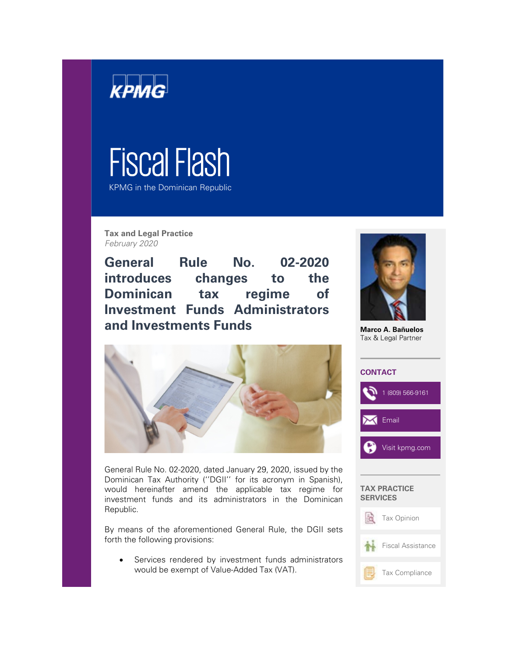

## Fiscal Flash

KPMG in the Dominican Republic

**Tax and Legal Practice** February 2020

**General Rule No. 02-2020 introduces changes to the Dominican tax regime of Investment Funds Administrators and Investments Funds** 



**Marco A. Bañuelos** Tax & Legal Partner



General Rule No. 02-2020, dated January 29, 2020, issued by the Dominican Tax Authority (''DGII'' for its acronym in Spanish), would hereinafter amend the applicable tax regime for investment funds and its administrators in the Dominican Republic.

By means of the aforementioned General Rule, the DGII sets forth the following provisions:

Services rendered by investment funds administrators would be exempt of Value-Added Tax (VAT).

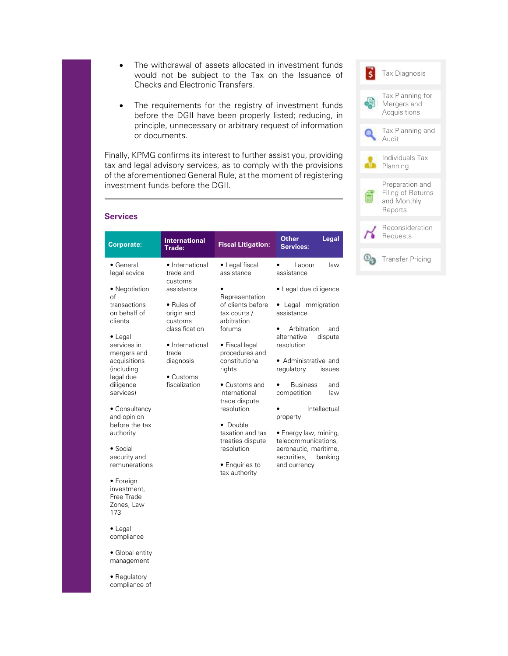- The withdrawal of assets allocated in investment funds would not be subject to the Tax on the Issuance of Checks and Electronic Transfers.
- The requirements for the registry of investment funds before the DGII have been properly listed; reducing, in principle, unnecessary or arbitrary request of information or documents.

Finally, KPMG confirms its interest to further assist you, providing tax and legal advisory services, as to comply with the provisions of the aforementioned General Rule, at the moment of registering investment funds before the DGII.

| <b>Tax Diagnosis</b>                                           |
|----------------------------------------------------------------|
| Tax Planning for<br>Mergers and<br>Acquisitions                |
| Tax Planning and<br>Audit                                      |
| Individuals Tax<br>Planning                                    |
| Preparation and<br>Filing of Returns<br>and Monthly<br>Reports |
| Reconsideration<br>Requests                                    |
| <b>Transfer Pricing</b>                                        |

## **Services**

| <b>Corporate:</b>                                                                                                                                                                                                                                                                                                                                        | <b>International</b><br>Trade:                                                                                                                        | <b>Fiscal Litigation:</b>                                                                                                                                                                                                                                                                                          | <b>Other</b><br>Legal<br><b>Services:</b>                                                                                                                                                                                                                                                                                                                               |
|----------------------------------------------------------------------------------------------------------------------------------------------------------------------------------------------------------------------------------------------------------------------------------------------------------------------------------------------------------|-------------------------------------------------------------------------------------------------------------------------------------------------------|--------------------------------------------------------------------------------------------------------------------------------------------------------------------------------------------------------------------------------------------------------------------------------------------------------------------|-------------------------------------------------------------------------------------------------------------------------------------------------------------------------------------------------------------------------------------------------------------------------------------------------------------------------------------------------------------------------|
| • General<br>legal advice                                                                                                                                                                                                                                                                                                                                | • International<br>trade and                                                                                                                          | • Legal fiscal<br>assistance                                                                                                                                                                                                                                                                                       | Labour<br>law<br>assistance                                                                                                                                                                                                                                                                                                                                             |
| • Negotiation<br>of<br>transactions<br>on behalf of<br>clients<br>$\bullet$ Legal<br>services in<br>mergers and<br>acquisitions<br>(including<br>legal due<br>diligence<br>services)<br>• Consultancy<br>and opinion<br>before the tax<br>authority<br>• Social<br>security and<br>remunerations<br>• Foreign<br>investment.<br>Free Trade<br>Zones, Law | customs<br>assistance<br>• Rules of<br>origin and<br>customs<br>classification<br>• International<br>trade<br>diagnosis<br>• Customs<br>fiscalization | Representation<br>of clients before<br>tax courts /<br>arbitration<br>forums<br>• Fiscal legal<br>procedures and<br>constitutional<br>rights<br>• Customs and<br>international<br>trade dispute<br>resolution<br>• Double<br>taxation and tax<br>treaties dispute<br>resolution<br>• Enquiries to<br>tax authority | • Legal due diligence<br>• Legal immigration<br>assistance<br>Arbitration<br>and<br>alternative<br>dispute<br>resolution<br>• Administrative and<br>regulatory<br>issues<br><b>Business</b><br>and<br>competition<br>law<br>Intellectual<br>property<br>• Energy law, mining,<br>telecommunications,<br>aeronautic, maritime,<br>securities,<br>banking<br>and currency |
| 173<br>$\bullet$ Legal<br>compliance                                                                                                                                                                                                                                                                                                                     |                                                                                                                                                       |                                                                                                                                                                                                                                                                                                                    |                                                                                                                                                                                                                                                                                                                                                                         |

management • Regulatory

• Global entity

compliance of